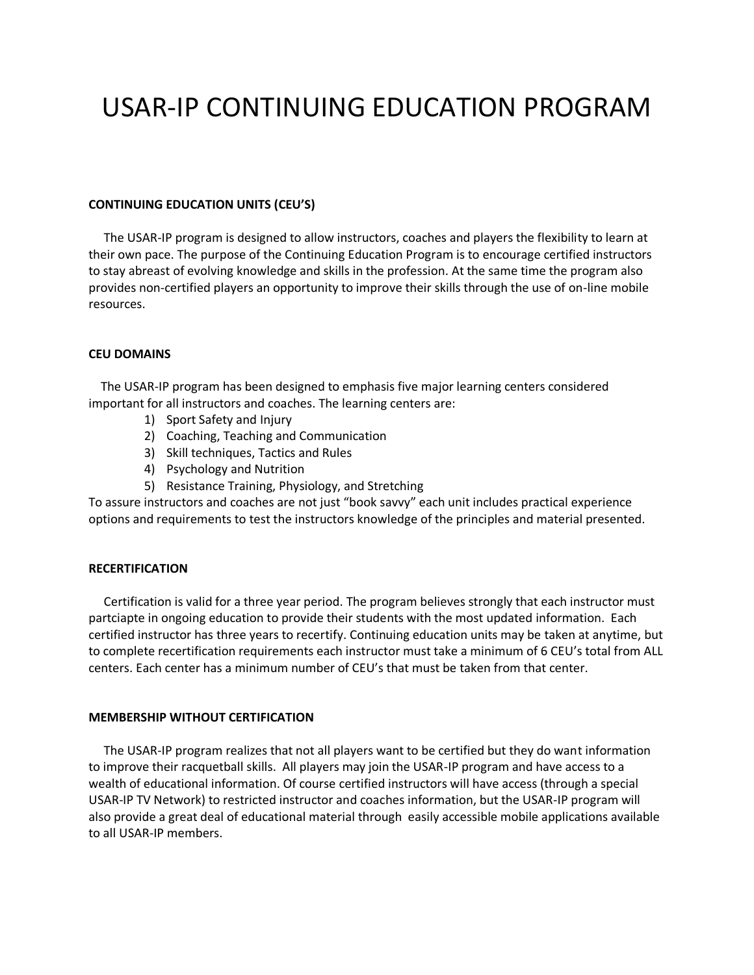# USAR-IP CONTINUING EDUCATION PROGRAM

### **CONTINUING EDUCATION UNITS (CEU'S)**

 The USAR-IP program is designed to allow instructors, coaches and players the flexibility to learn at their own pace. The purpose of the Continuing Education Program is to encourage certified instructors to stay abreast of evolving knowledge and skills in the profession. At the same time the program also provides non-certified players an opportunity to improve their skills through the use of on-line mobile resources.

#### **CEU DOMAINS**

 The USAR-IP program has been designed to emphasis five major learning centers considered important for all instructors and coaches. The learning centers are:

- 1) Sport Safety and Injury
- 2) Coaching, Teaching and Communication
- 3) Skill techniques, Tactics and Rules
- 4) Psychology and Nutrition
- 5) Resistance Training, Physiology, and Stretching

To assure instructors and coaches are not just "book savvy" each unit includes practical experience options and requirements to test the instructors knowledge of the principles and material presented.

#### **RECERTIFICATION**

 Certification is valid for a three year period. The program believes strongly that each instructor must partciapte in ongoing education to provide their students with the most updated information. Each certified instructor has three years to recertify. Continuing education units may be taken at anytime, but to complete recertification requirements each instructor must take a minimum of 6 CEU's total from ALL centers. Each center has a minimum number of CEU's that must be taken from that center.

#### **MEMBERSHIP WITHOUT CERTIFICATION**

 The USAR-IP program realizes that not all players want to be certified but they do want information to improve their racquetball skills. All players may join the USAR-IP program and have access to a wealth of educational information. Of course certified instructors will have access (through a special USAR-IP TV Network) to restricted instructor and coaches information, but the USAR-IP program will also provide a great deal of educational material through easily accessible mobile applications available to all USAR-IP members.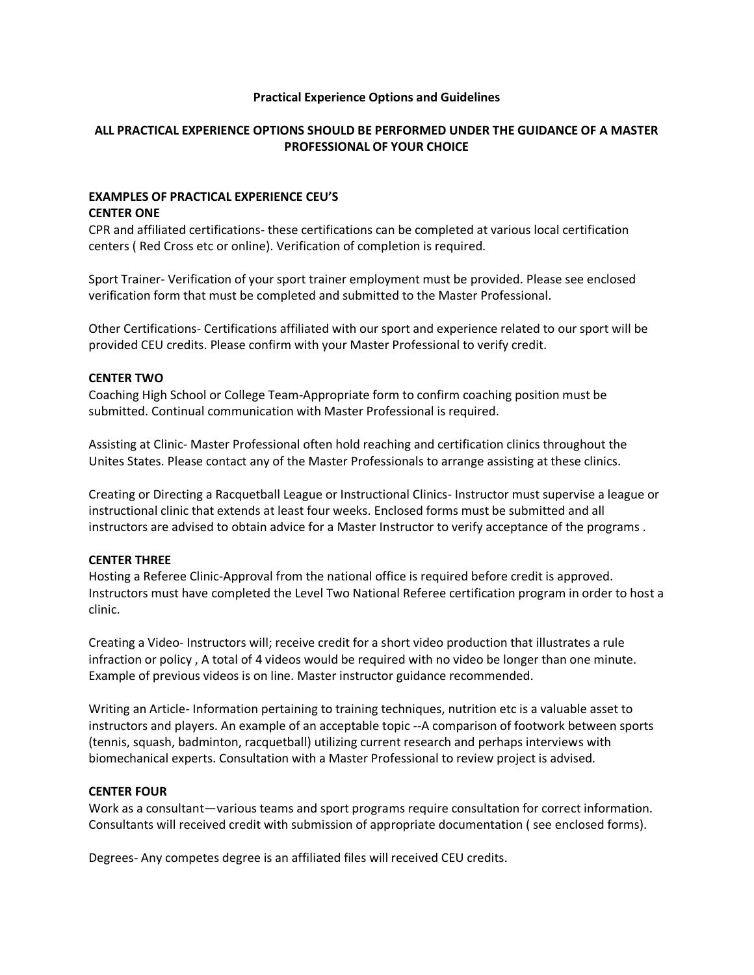## **Practical Experience Options and Guidelines**

# **ALL PRACTICAL EXPERIENCE OPTIONS SHOULD BE PERFORMED UNDER THE GUIDANCE OF A MASTER PROFESSIONAL OF YOUR CHOICE**

## **EXAMPLES OF PRACTICAL EXPERIENCE CEU'S CENTER ONE**

CPR and affiliated certifications- these certifications can be completed at various local certification centers ( Red Cross etc or online). Verification of completion is required.

Sport Trainer- Verification of your sport trainer employment must be provided. Please see enclosed verification form that must be completed and submitted to the Master Professional.

Other Certifications- Certifications affiliated with our sport and experience related to our sport will be provided CEU credits. Please confirm with your Master Professional to verify credit.

# **CENTER TWO**

Coaching High School or College Team-Appropriate form to confirm coaching position must be submitted. Continual communication with Master Professional is required.

Assisting at Clinic- Master Professional often hold reaching and certification clinics throughout the Unites States. Please contact any of the Master Professionals to arrange assisting at these clinics.

Creating or Directing a Racquetball League or Instructional Clinics- Instructor must supervise a league or instructional clinic that extends at least four weeks. Enclosed forms must be submitted and all instructors are advised to obtain advice for a Master Instructor to verify acceptance of the programs .

## **CENTER THREE**

Hosting a Referee Clinic-Approval from the national office is required before credit is approved. Instructors must have completed the Level Two National Referee certification program in order to host a clinic.

Creating a Video- Instructors will; receive credit for a short video production that illustrates a rule infraction or policy , A total of 4 videos would be required with no video be longer than one minute. Example of previous videos is on line. Master instructor guidance recommended.

Writing an Article- Information pertaining to training techniques, nutrition etc is a valuable asset to instructors and players. An example of an acceptable topic --A comparison of footwork between sports (tennis, squash, badminton, racquetball) utilizing current research and perhaps interviews with biomechanical experts. Consultation with a Master Professional to review project is advised.

# **CENTER FOUR**

Work as a consultant—various teams and sport programs require consultation for correct information. Consultants will received credit with submission of appropriate documentation ( see enclosed forms).

Degrees- Any competes degree is an affiliated files will received CEU credits.